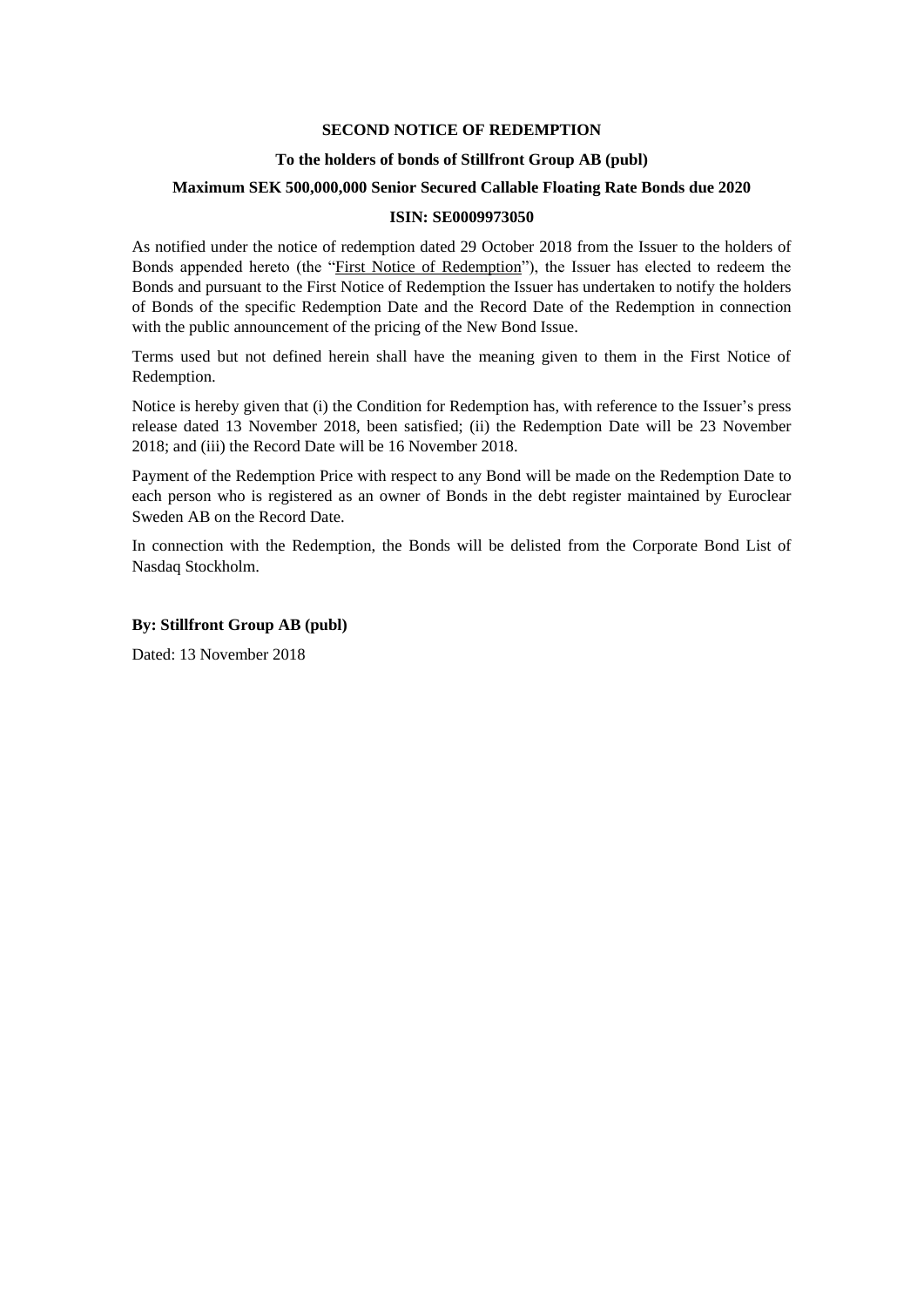## **SECOND NOTICE OF REDEMPTION**

#### **To the holders of bonds of Stillfront Group AB (publ)**

### **Maximum SEK 500,000,000 Senior Secured Callable Floating Rate Bonds due 2020**

## **ISIN: SE0009973050**

As notified under the notice of redemption dated 29 October 2018 from the Issuer to the holders of Bonds appended hereto (the "First Notice of Redemption"), the Issuer has elected to redeem the Bonds and pursuant to the First Notice of Redemption the Issuer has undertaken to notify the holders of Bonds of the specific Redemption Date and the Record Date of the Redemption in connection with the public announcement of the pricing of the New Bond Issue.

Terms used but not defined herein shall have the meaning given to them in the First Notice of Redemption.

Notice is hereby given that (i) the Condition for Redemption has, with reference to the Issuer's press release dated 13 November 2018, been satisfied; (ii) the Redemption Date will be 23 November 2018; and (iii) the Record Date will be 16 November 2018.

Payment of the Redemption Price with respect to any Bond will be made on the Redemption Date to each person who is registered as an owner of Bonds in the debt register maintained by Euroclear Sweden AB on the Record Date.

In connection with the Redemption, the Bonds will be delisted from the Corporate Bond List of Nasdaq Stockholm.

## **By: Stillfront Group AB (publ)**

Dated: 13 November 2018